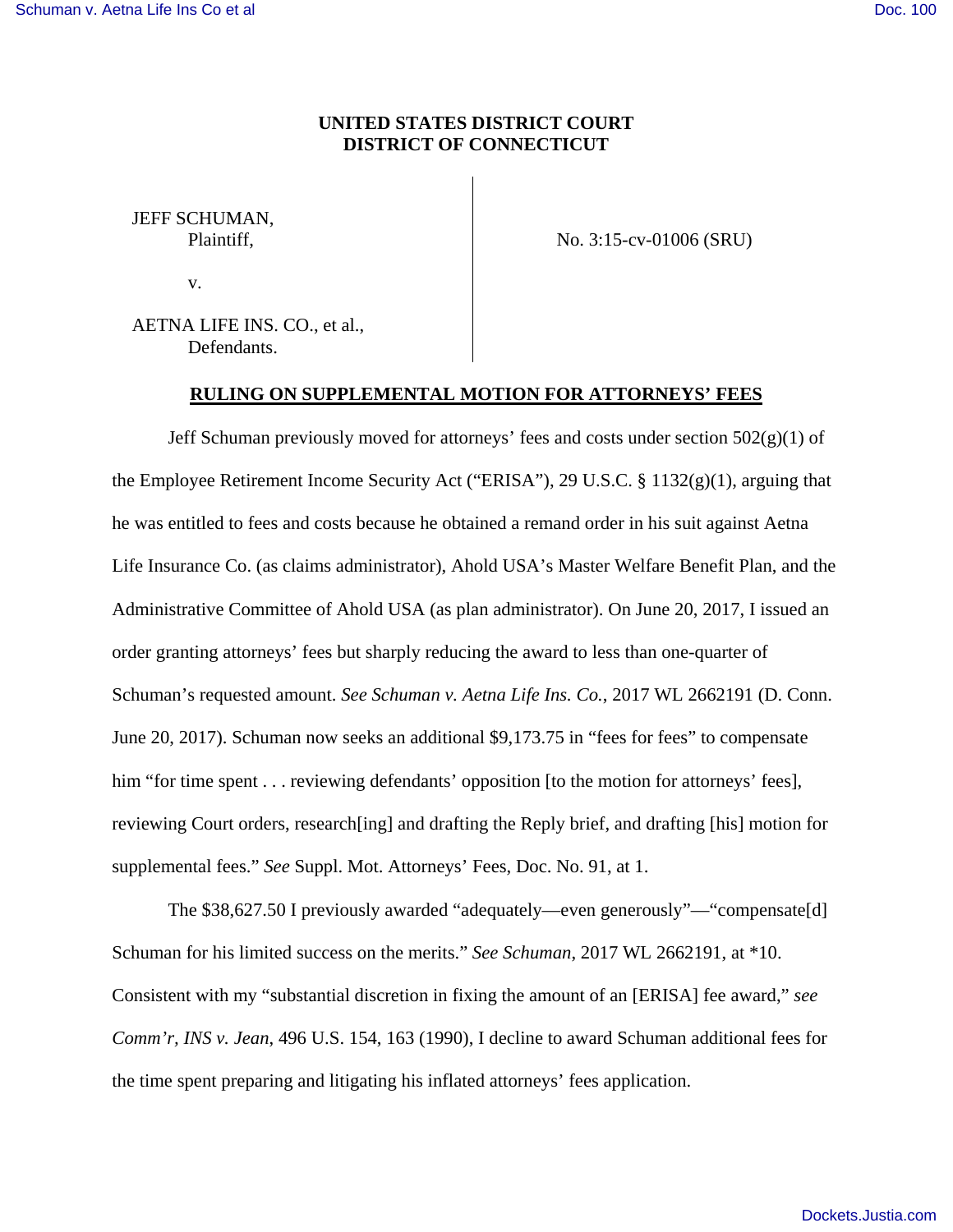## **UNITED STATES DISTRICT COURT DISTRICT OF CONNECTICUT**

JEFF SCHUMAN, Plaintiff,

v.

No. 3:15-cv-01006 (SRU)

AETNA LIFE INS. CO., et al., Defendants.

### **RULING ON SUPPLEMENTAL MOTION FOR ATTORNEYS' FEES**

Jeff Schuman previously moved for attorneys' fees and costs under section  $502(g)(1)$  of the Employee Retirement Income Security Act ("ERISA"), 29 U.S.C. § 1132(g)(1), arguing that he was entitled to fees and costs because he obtained a remand order in his suit against Aetna Life Insurance Co. (as claims administrator), Ahold USA's Master Welfare Benefit Plan, and the Administrative Committee of Ahold USA (as plan administrator). On June 20, 2017, I issued an order granting attorneys' fees but sharply reducing the award to less than one-quarter of Schuman's requested amount. *See Schuman v. Aetna Life Ins. Co.*, 2017 WL 2662191 (D. Conn. June 20, 2017). Schuman now seeks an additional \$9,173.75 in "fees for fees" to compensate him "for time spent . . . reviewing defendants' opposition [to the motion for attorneys' fees], reviewing Court orders, research[ing] and drafting the Reply brief, and drafting [his] motion for supplemental fees." *See* Suppl. Mot. Attorneys' Fees, Doc. No. 91, at 1.

The \$38,627.50 I previously awarded "adequately—even generously"—"compensate[d] Schuman for his limited success on the merits." *See Schuman*, 2017 WL 2662191, at \*10. Consistent with my "substantial discretion in fixing the amount of an [ERISA] fee award," *see Comm'r, INS v. Jean*, 496 U.S. 154, 163 (1990), I decline to award Schuman additional fees for the time spent preparing and litigating his inflated attorneys' fees application.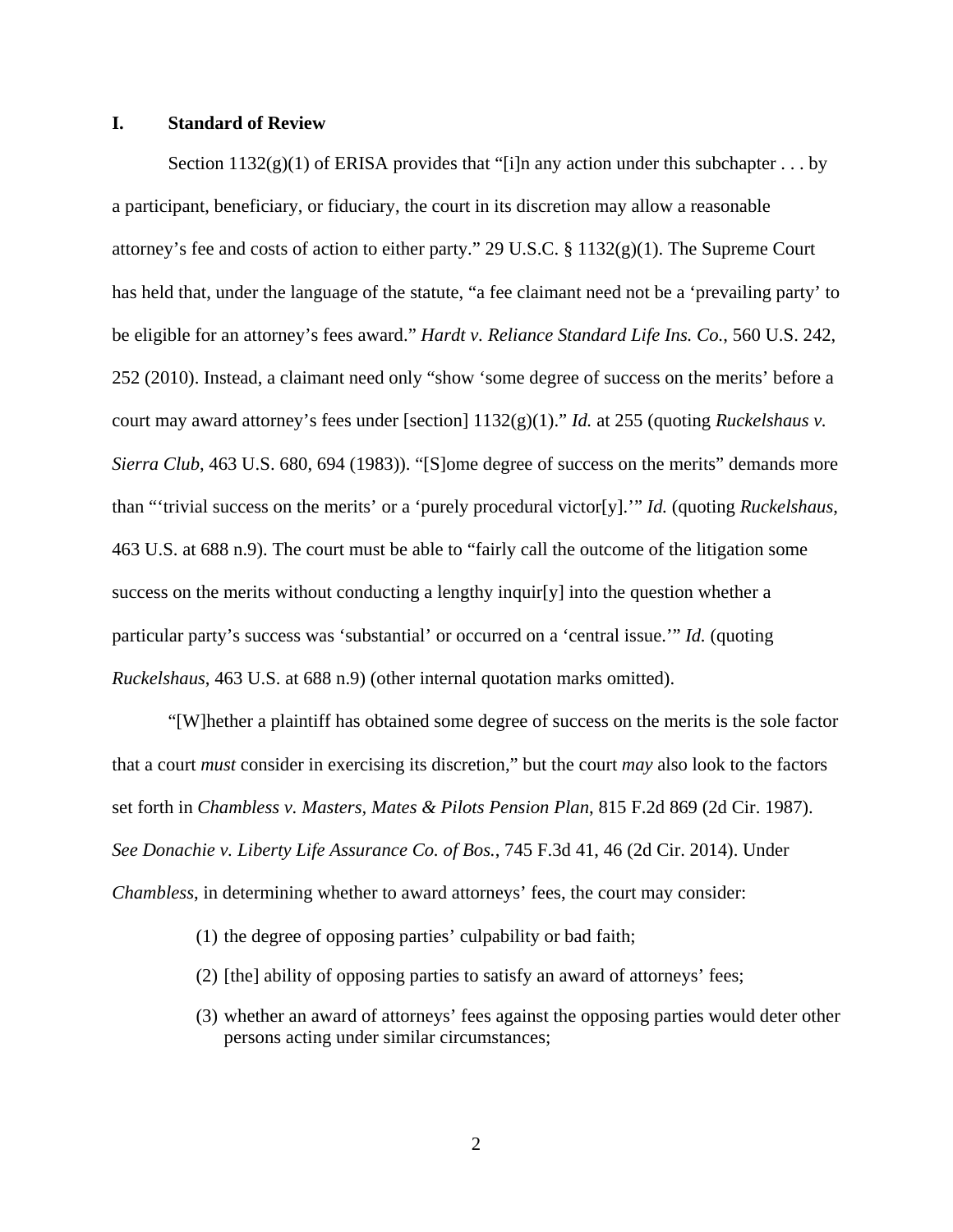## **I. Standard of Review**

Section  $1132(g)(1)$  of ERISA provides that "[i]n any action under this subchapter . . . by a participant, beneficiary, or fiduciary, the court in its discretion may allow a reasonable attorney's fee and costs of action to either party." 29 U.S.C.  $\S$  1132(g)(1). The Supreme Court has held that, under the language of the statute, "a fee claimant need not be a 'prevailing party' to be eligible for an attorney's fees award." *Hardt v. Reliance Standard Life Ins. Co.*, 560 U.S. 242, 252 (2010). Instead, a claimant need only "show 'some degree of success on the merits' before a court may award attorney's fees under [section] 1132(g)(1)." *Id.* at 255 (quoting *Ruckelshaus v. Sierra Club*, 463 U.S. 680, 694 (1983)). "[S]ome degree of success on the merits" demands more than "'trivial success on the merits' or a 'purely procedural victor[y].'" *Id.* (quoting *Ruckelshaus*, 463 U.S. at 688 n.9). The court must be able to "fairly call the outcome of the litigation some success on the merits without conducting a lengthy inquir[y] into the question whether a particular party's success was 'substantial' or occurred on a 'central issue.'" *Id.* (quoting *Ruckelshaus*, 463 U.S. at 688 n.9) (other internal quotation marks omitted).

"[W]hether a plaintiff has obtained some degree of success on the merits is the sole factor that a court *must* consider in exercising its discretion," but the court *may* also look to the factors set forth in *Chambless v. Masters, Mates & Pilots Pension Plan*, 815 F.2d 869 (2d Cir. 1987). *See Donachie v. Liberty Life Assurance Co. of Bos.*, 745 F.3d 41, 46 (2d Cir. 2014). Under *Chambless*, in determining whether to award attorneys' fees, the court may consider:

- (1) the degree of opposing parties' culpability or bad faith;
- (2) [the] ability of opposing parties to satisfy an award of attorneys' fees;
- (3) whether an award of attorneys' fees against the opposing parties would deter other persons acting under similar circumstances;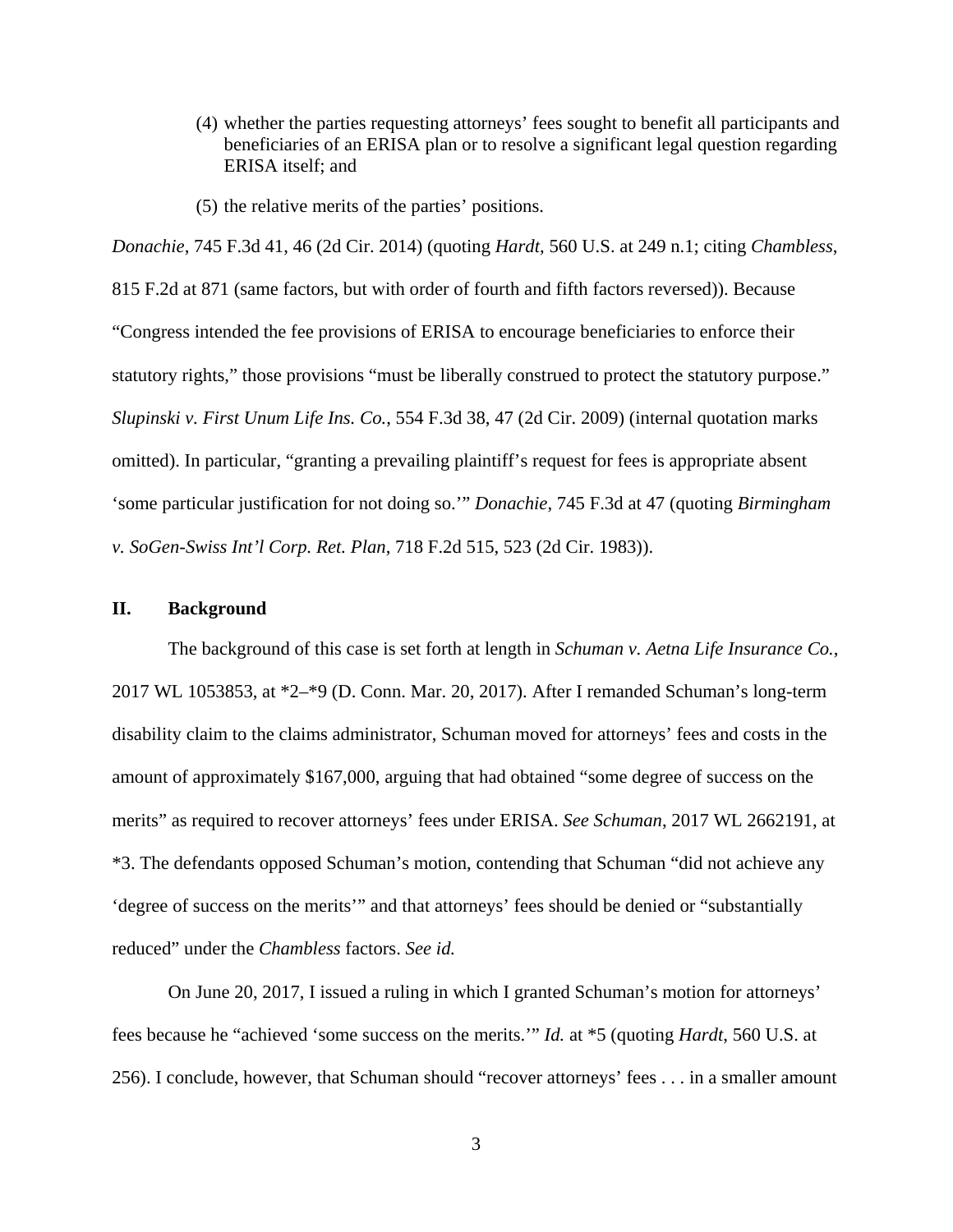- (4) whether the parties requesting attorneys' fees sought to benefit all participants and beneficiaries of an ERISA plan or to resolve a significant legal question regarding ERISA itself; and
- (5) the relative merits of the parties' positions.

*Donachie*, 745 F.3d 41, 46 (2d Cir. 2014) (quoting *Hardt*, 560 U.S. at 249 n.1; citing *Chambless*, 815 F.2d at 871 (same factors, but with order of fourth and fifth factors reversed)). Because "Congress intended the fee provisions of ERISA to encourage beneficiaries to enforce their statutory rights," those provisions "must be liberally construed to protect the statutory purpose." *Slupinski v. First Unum Life Ins. Co.*, 554 F.3d 38, 47 (2d Cir. 2009) (internal quotation marks omitted). In particular, "granting a prevailing plaintiff's request for fees is appropriate absent 'some particular justification for not doing so.'" *Donachie*, 745 F.3d at 47 (quoting *Birmingham v. SoGen-Swiss Int'l Corp. Ret. Plan*, 718 F.2d 515, 523 (2d Cir. 1983)).

#### **II. Background**

The background of this case is set forth at length in *Schuman v. Aetna Life Insurance Co.*, 2017 WL 1053853, at \*2–\*9 (D. Conn. Mar. 20, 2017). After I remanded Schuman's long-term disability claim to the claims administrator, Schuman moved for attorneys' fees and costs in the amount of approximately \$167,000, arguing that had obtained "some degree of success on the merits" as required to recover attorneys' fees under ERISA. *See Schuman*, 2017 WL 2662191, at \*3. The defendants opposed Schuman's motion, contending that Schuman "did not achieve any 'degree of success on the merits'" and that attorneys' fees should be denied or "substantially reduced" under the *Chambless* factors. *See id.*

On June 20, 2017, I issued a ruling in which I granted Schuman's motion for attorneys' fees because he "achieved 'some success on the merits.'" *Id.* at \*5 (quoting *Hardt*, 560 U.S. at 256). I conclude, however, that Schuman should "recover attorneys' fees . . . in a smaller amount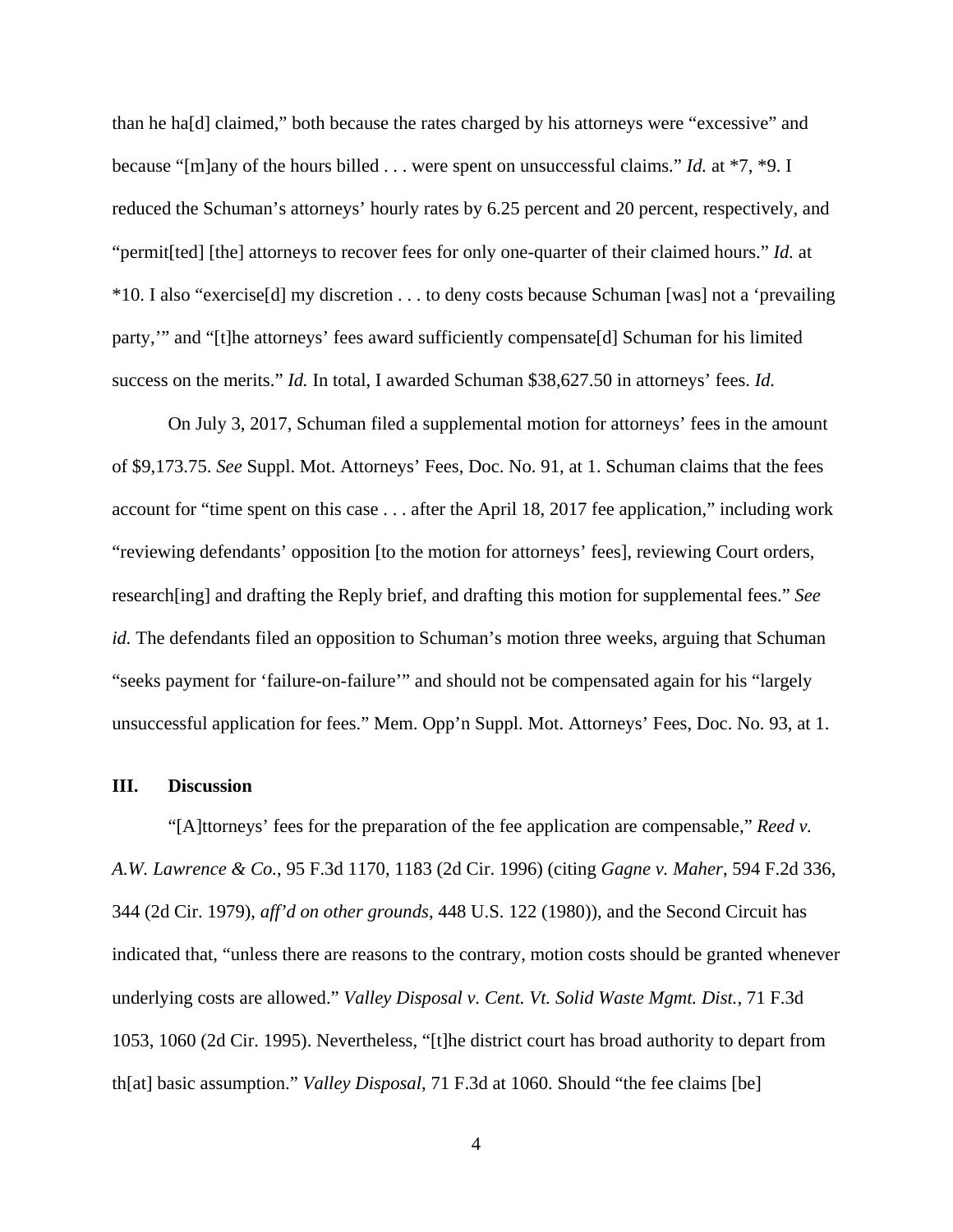than he ha[d] claimed," both because the rates charged by his attorneys were "excessive" and because "[m]any of the hours billed . . . were spent on unsuccessful claims." *Id.* at \*7, \*9. I reduced the Schuman's attorneys' hourly rates by 6.25 percent and 20 percent, respectively, and "permit[ted] [the] attorneys to recover fees for only one-quarter of their claimed hours." *Id.* at \*10. I also "exercise[d] my discretion . . . to deny costs because Schuman [was] not a 'prevailing party,'" and "[t]he attorneys' fees award sufficiently compensate[d] Schuman for his limited success on the merits." *Id.* In total, I awarded Schuman \$38,627.50 in attorneys' fees. *Id.*

On July 3, 2017, Schuman filed a supplemental motion for attorneys' fees in the amount of \$9,173.75. *See* Suppl. Mot. Attorneys' Fees, Doc. No. 91, at 1. Schuman claims that the fees account for "time spent on this case . . . after the April 18, 2017 fee application," including work "reviewing defendants' opposition [to the motion for attorneys' fees], reviewing Court orders, research[ing] and drafting the Reply brief, and drafting this motion for supplemental fees." *See id.* The defendants filed an opposition to Schuman's motion three weeks, arguing that Schuman "seeks payment for 'failure-on-failure'" and should not be compensated again for his "largely unsuccessful application for fees." Mem. Opp'n Suppl. Mot. Attorneys' Fees, Doc. No. 93, at 1.

#### **III. Discussion**

"[A]ttorneys' fees for the preparation of the fee application are compensable," *Reed v. A.W. Lawrence & Co.*, 95 F.3d 1170, 1183 (2d Cir. 1996) (citing *Gagne v. Maher*, 594 F.2d 336, 344 (2d Cir. 1979), *aff'd on other grounds*, 448 U.S. 122 (1980)), and the Second Circuit has indicated that, "unless there are reasons to the contrary, motion costs should be granted whenever underlying costs are allowed." *Valley Disposal v. Cent. Vt. Solid Waste Mgmt. Dist.*, 71 F.3d 1053, 1060 (2d Cir. 1995). Nevertheless, "[t]he district court has broad authority to depart from th[at] basic assumption." *Valley Disposal*, 71 F.3d at 1060. Should "the fee claims [be]

4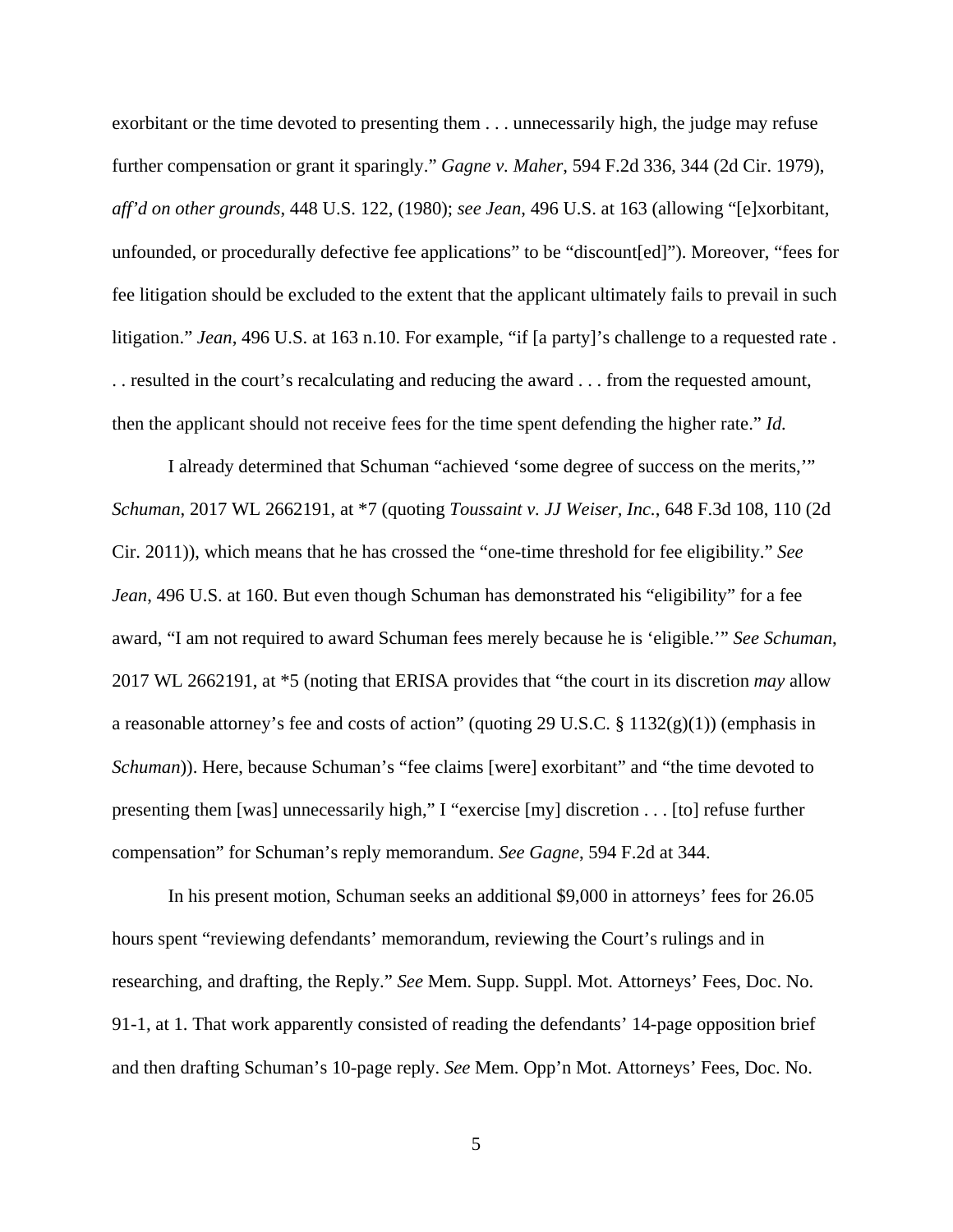exorbitant or the time devoted to presenting them . . . unnecessarily high, the judge may refuse further compensation or grant it sparingly." *Gagne v. Maher*, 594 F.2d 336, 344 (2d Cir. 1979), *aff'd on other grounds*, 448 U.S. 122, (1980); *see Jean*, 496 U.S. at 163 (allowing "[e]xorbitant, unfounded, or procedurally defective fee applications" to be "discount[ed]"). Moreover, "fees for fee litigation should be excluded to the extent that the applicant ultimately fails to prevail in such litigation." *Jean*, 496 U.S. at 163 n.10. For example, "if [a party]'s challenge to a requested rate . . . resulted in the court's recalculating and reducing the award . . . from the requested amount, then the applicant should not receive fees for the time spent defending the higher rate." *Id.*

I already determined that Schuman "achieved 'some degree of success on the merits,'" *Schuman*, 2017 WL 2662191, at \*7 (quoting *Toussaint v. JJ Weiser, Inc.*, 648 F.3d 108, 110 (2d Cir. 2011)), which means that he has crossed the "one-time threshold for fee eligibility." *See Jean*, 496 U.S. at 160. But even though Schuman has demonstrated his "eligibility" for a fee award, "I am not required to award Schuman fees merely because he is 'eligible.'" *See Schuman*, 2017 WL 2662191, at \*5 (noting that ERISA provides that "the court in its discretion *may* allow a reasonable attorney's fee and costs of action" (quoting 29 U.S.C. § 1132(g)(1)) (emphasis in *Schuman*)). Here, because Schuman's "fee claims [were] exorbitant" and "the time devoted to presenting them [was] unnecessarily high," I "exercise [my] discretion . . . [to] refuse further compensation" for Schuman's reply memorandum. *See Gagne*, 594 F.2d at 344.

In his present motion, Schuman seeks an additional \$9,000 in attorneys' fees for 26.05 hours spent "reviewing defendants' memorandum, reviewing the Court's rulings and in researching, and drafting, the Reply." *See* Mem. Supp. Suppl. Mot. Attorneys' Fees, Doc. No. 91-1, at 1. That work apparently consisted of reading the defendants' 14-page opposition brief and then drafting Schuman's 10-page reply. *See* Mem. Opp'n Mot. Attorneys' Fees, Doc. No.

5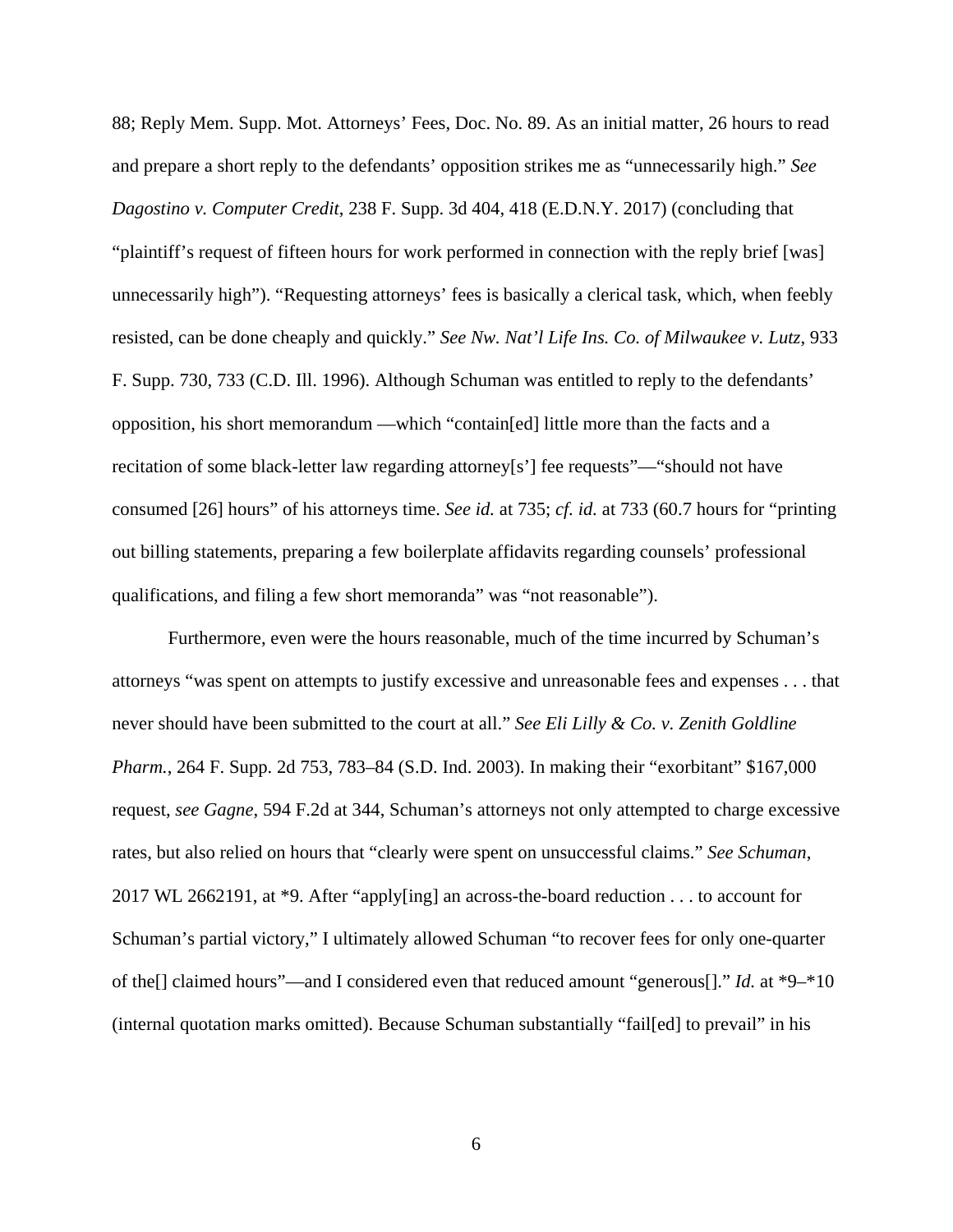88; Reply Mem. Supp. Mot. Attorneys' Fees, Doc. No. 89. As an initial matter, 26 hours to read and prepare a short reply to the defendants' opposition strikes me as "unnecessarily high." *See Dagostino v. Computer Credit*, 238 F. Supp. 3d 404, 418 (E.D.N.Y. 2017) (concluding that "plaintiff's request of fifteen hours for work performed in connection with the reply brief [was] unnecessarily high"). "Requesting attorneys' fees is basically a clerical task, which, when feebly resisted, can be done cheaply and quickly." *See Nw. Nat'l Life Ins. Co. of Milwaukee v. Lutz*, 933 F. Supp. 730, 733 (C.D. Ill. 1996). Although Schuman was entitled to reply to the defendants' opposition, his short memorandum —which "contain[ed] little more than the facts and a recitation of some black-letter law regarding attorney[s'] fee requests"—"should not have consumed [26] hours" of his attorneys time. *See id.* at 735; *cf. id.* at 733 (60.7 hours for "printing out billing statements, preparing a few boilerplate affidavits regarding counsels' professional qualifications, and filing a few short memoranda" was "not reasonable").

Furthermore, even were the hours reasonable, much of the time incurred by Schuman's attorneys "was spent on attempts to justify excessive and unreasonable fees and expenses . . . that never should have been submitted to the court at all." *See Eli Lilly & Co. v. Zenith Goldline Pharm.*, 264 F. Supp. 2d 753, 783–84 (S.D. Ind. 2003). In making their "exorbitant" \$167,000 request, *see Gagne*, 594 F.2d at 344, Schuman's attorneys not only attempted to charge excessive rates, but also relied on hours that "clearly were spent on unsuccessful claims." *See Schuman*, 2017 WL 2662191, at \*9. After "apply[ing] an across-the-board reduction . . . to account for Schuman's partial victory," I ultimately allowed Schuman "to recover fees for only one-quarter of the[] claimed hours"—and I considered even that reduced amount "generous[]." *Id.* at \*9–\*10 (internal quotation marks omitted). Because Schuman substantially "fail[ed] to prevail" in his

6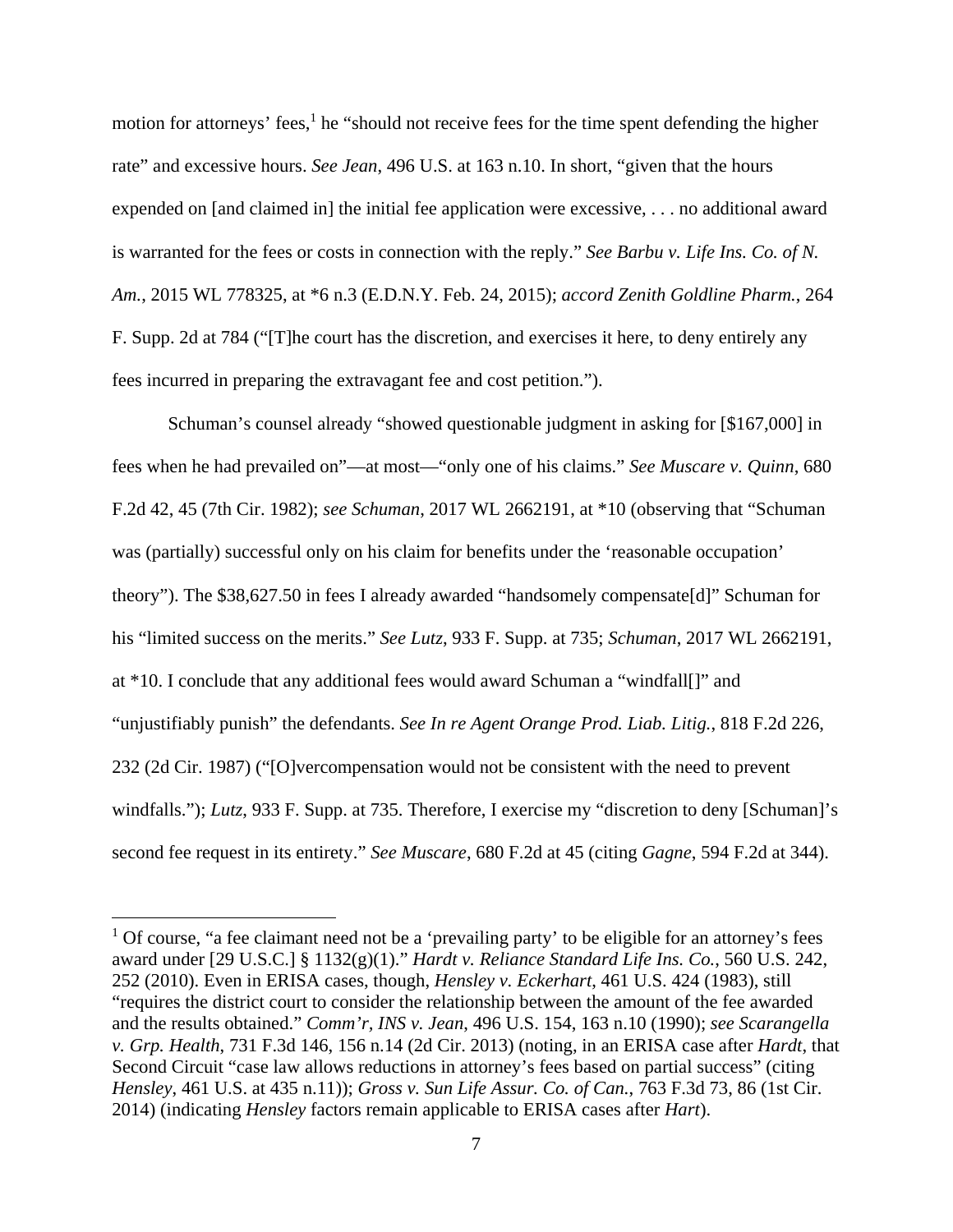motion for attorneys' fees,<sup>1</sup> he "should not receive fees for the time spent defending the higher rate" and excessive hours. *See Jean*, 496 U.S. at 163 n.10. In short, "given that the hours expended on [and claimed in] the initial fee application were excessive, . . . no additional award is warranted for the fees or costs in connection with the reply." *See Barbu v. Life Ins. Co. of N. Am.*, 2015 WL 778325, at \*6 n.3 (E.D.N.Y. Feb. 24, 2015); *accord Zenith Goldline Pharm.*, 264 F. Supp. 2d at 784 ("[T]he court has the discretion, and exercises it here, to deny entirely any fees incurred in preparing the extravagant fee and cost petition.").

Schuman's counsel already "showed questionable judgment in asking for [\$167,000] in fees when he had prevailed on"—at most—"only one of his claims." *See Muscare v. Quinn*, 680 F.2d 42, 45 (7th Cir. 1982); *see Schuman*, 2017 WL 2662191, at \*10 (observing that "Schuman was (partially) successful only on his claim for benefits under the 'reasonable occupation' theory"). The \$38,627.50 in fees I already awarded "handsomely compensate[d]" Schuman for his "limited success on the merits." *See Lutz*, 933 F. Supp. at 735; *Schuman*, 2017 WL 2662191, at \*10. I conclude that any additional fees would award Schuman a "windfall[]" and "unjustifiably punish" the defendants. *See In re Agent Orange Prod. Liab. Litig.*, 818 F.2d 226, 232 (2d Cir. 1987) ("[O]vercompensation would not be consistent with the need to prevent windfalls."); *Lutz*, 933 F. Supp. at 735. Therefore, I exercise my "discretion to deny [Schuman]'s second fee request in its entirety." *See Muscare*, 680 F.2d at 45 (citing *Gagne*, 594 F.2d at 344).

 $\overline{a}$ 

<sup>&</sup>lt;sup>1</sup> Of course, "a fee claimant need not be a 'prevailing party' to be eligible for an attorney's fees award under [29 U.S.C.] § 1132(g)(1)." *Hardt v. Reliance Standard Life Ins. Co.*, 560 U.S. 242, 252 (2010). Even in ERISA cases, though, *Hensley v. Eckerhart*, 461 U.S. 424 (1983), still "requires the district court to consider the relationship between the amount of the fee awarded and the results obtained." *Comm'r, INS v. Jean*, 496 U.S. 154, 163 n.10 (1990); *see Scarangella v. Grp. Health*, 731 F.3d 146, 156 n.14 (2d Cir. 2013) (noting, in an ERISA case after *Hardt*, that Second Circuit "case law allows reductions in attorney's fees based on partial success" (citing *Hensley*, 461 U.S. at 435 n.11)); *Gross v. Sun Life Assur. Co. of Can.*, 763 F.3d 73, 86 (1st Cir. 2014) (indicating *Hensley* factors remain applicable to ERISA cases after *Hart*).